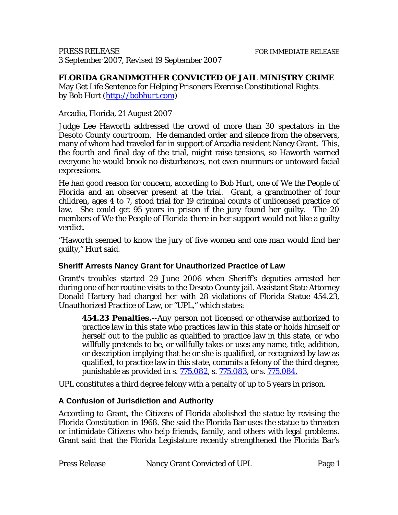### **FLORIDA GRANDMOTHER CONVICTED OF JAIL MINISTRY CRIME**

May Get Life Sentence for Helping Prisoners Exercise Constitutional Rights. by Bob Hurt ([http://bobhurt.com](http://bobhurt.com/))

### Arcadia, Florida, 21 August 2007

Judge Lee Haworth addressed the crowd of more than 30 spectators in the Desoto County courtroom. He demanded order and silence from the observers, many of whom had traveled far in support of Arcadia resident Nancy Grant. This, the fourth and final day of the trial, might raise tensions, so Haworth warned everyone he would brook no disturbances, not even murmurs or untoward facial expressions.

He had good reason for concern, according to Bob Hurt, one of *We the People of Florida* and an observer present at the trial. Grant, a grandmother of four children, ages 4 to 7, stood trial for 19 criminal counts of unlicensed practice of law. She could get 95 years in prison if the jury found her guilty. The 20 members of *We the People of Florida* there in her support would not like a guilty verdict.

"Haworth seemed to know the jury of five women and one man would find her guilty," Hurt said.

### **Sheriff Arrests Nancy Grant for Unauthorized Practice of Law**

Grant's troubles started 29 June 2006 when Sheriff's deputies arrested her during one of her routine visits to the Desoto County jail. Assistant State Attorney Donald Hartery had charged her with 28 violations of Florida Statue 454.23, Unauthorized Practice of Law, or "UPL," which states:

**454.23 Penalties.**--Any person not licensed or otherwise authorized to practice law in this state who practices law in this state or holds himself or herself out to the public as qualified to practice law in this state, or who willfully pretends to be, or willfully takes or uses any name, title, addition, or description implying that he or she is qualified, or recognized by law as qualified, to practice law in this state, commits a felony of the third degree, punishable as provided in s.  $775.082$ , s.  $775.083$ , or s.  $775.084$ .

UPL constitutes a third degree felony with a penalty of up to 5 years in prison.

### **A Confusion of Jurisdiction and Authority**

According to Grant, the Citizens of Florida abolished the statue by revising the Florida Constitution in 1968. She said the Florida Bar uses the statue to threaten or intimidate Citizens who help friends, family, and others with legal problems. Grant said that the Florida Legislature recently strengthened the Florida Bar's

| <b>Press Release</b> | Nancy Grant Convicted of UPL | Page 1 |
|----------------------|------------------------------|--------|
|----------------------|------------------------------|--------|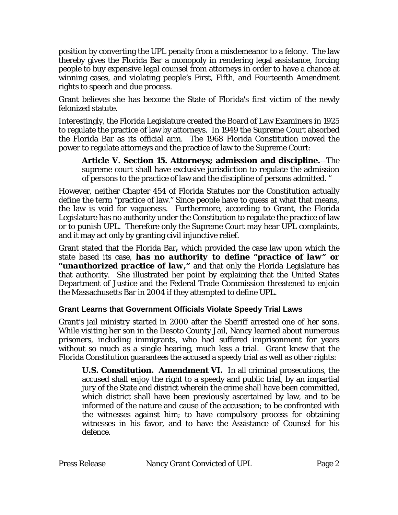position by converting the UPL penalty from a misdemeanor to a felony. The law thereby gives the Florida Bar a monopoly in rendering legal assistance, forcing people to buy expensive legal counsel from attorneys in order to have a chance at winning cases, and violating people's First, Fifth, and Fourteenth Amendment rights to speech and due process.

Grant believes she has become the State of Florida's first victim of the newly felonized statute.

Interestingly, the Florida Legislature created the Board of Law Examiners in 1925 to regulate the practice of law by attorneys. In 1949 the Supreme Court absorbed the Florida Bar as its official arm. The 1968 Florida Constitution moved the power to regulate attorneys and the practice of law to the Supreme Court:

**Article V. Section 15. Attorneys; admission and discipline.**--The supreme court shall have exclusive jurisdiction to regulate the admission of persons to the practice of law and the discipline of persons admitted. "

However, neither Chapter 454 of Florida Statutes nor the Constitution actually define the term "practice of law." Since people have to guess at what that means, the law is void for vagueness. Furthermore, according to Grant, the Florida Legislature has no authority under the Constitution to regulate the practice of law or to punish UPL. Therefore only the Supreme Court may hear UPL complaints, and it may act only by granting civil injunctive relief.

Grant stated that the Florida Bar*,* which provided the case law upon which the state based its case, *has no authority to define "practice of law" or "unauthorized practice of law,"* and that only the Florida Legislature has that authority. She illustrated her point by explaining that the United States Department of Justice and the Federal Trade Commission threatened to enjoin the Massachusetts Bar in 2004 if they attempted to define UPL.

## **Grant Learns that Government Officials Violate Speedy Trial Laws**

Grant's jail ministry started in 2000 after the Sheriff arrested one of her sons. While visiting her son in the Desoto County Jail, Nancy learned about numerous prisoners, including immigrants, who had suffered imprisonment for years without so much as a single hearing, much less a trial. Grant knew that the Florida Constitution guarantees the accused a speedy trial as well as other rights:

**U.S. Constitution. Amendment VI.** In all criminal prosecutions, the accused shall enjoy the right to a speedy and public trial, by an impartial jury of the State and district wherein the crime shall have been committed, which district shall have been previously ascertained by law, and to be informed of the nature and cause of the accusation; to be confronted with the witnesses against him; to have compulsory process for obtaining witnesses in his favor, and to have the Assistance of Counsel for his defence.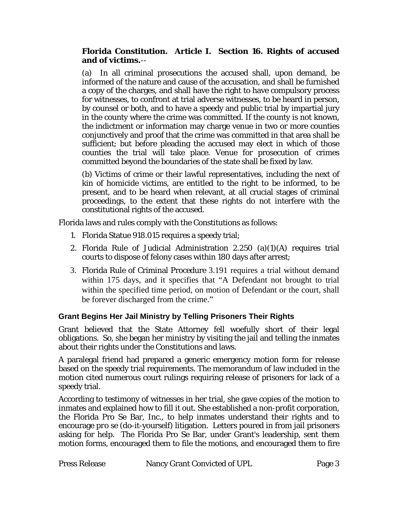### **Florida Constitution. Article I. Section 16. Rights of accused and of victims.**--

(a) In all criminal prosecutions the accused shall, upon demand, be informed of the nature and cause of the accusation, and shall be furnished a copy of the charges, and shall have the right to have compulsory process for witnesses, to confront at trial adverse witnesses, to be heard in person, by counsel or both, and to have a speedy and public trial by impartial jury in the county where the crime was committed. If the county is not known, the indictment or information may charge venue in two or more counties conjunctively and proof that the crime was committed in that area shall be sufficient; but before pleading the accused may elect in which of those counties the trial will take place. Venue for prosecution of crimes committed beyond the boundaries of the state shall be fixed by law.

(b) Victims of crime or their lawful representatives, including the next of kin of homicide victims, are entitled to the right to be informed, to be present, and to be heard when relevant, at all crucial stages of criminal proceedings, to the extent that these rights do not interfere with the constitutional rights of the accused.

Florida laws and rules comply with the Constitutions as follows:

- 1. Florida Statue 918.015 requires a speedy trial;
- 2. Florida Rule of Judicial Administration  $2.250$  (a)(1)(A) requires trial courts to dispose of felony cases within 180 days after arrest;
- 3. Florida Rule of Criminal Procedure 3.191 requires a trial without demand within 175 days, and it specifies that "A Defendant not brought to trial within the specified time period, on motion of Defendant or the court, shall be forever discharged from the crime."

## **Grant Begins Her Jail Ministry by Telling Prisoners Their Rights**

Grant believed that the State Attorney fell woefully short of their legal obligations. So, she began her ministry by visiting the jail and telling the inmates about their rights under the Constitutions and laws.

A paralegal friend had prepared a generic emergency motion form for release based on the speedy trial requirements. The memorandum of law included in the motion cited numerous court rulings requiring release of prisoners for lack of a speedy trial.

According to testimony of witnesses in her trial, she gave copies of the motion to inmates and explained how to fill it out. She established a non-profit corporation, the Florida Pro Se Bar, Inc., to help inmates understand their rights and to encourage *pro se* (do-it-yourself) litigation. Letters poured in from jail prisoners asking for help. The Florida Pro Se Bar, under Grant's leadership, sent them motion forms, encouraged them to file the motions, and encouraged them to fire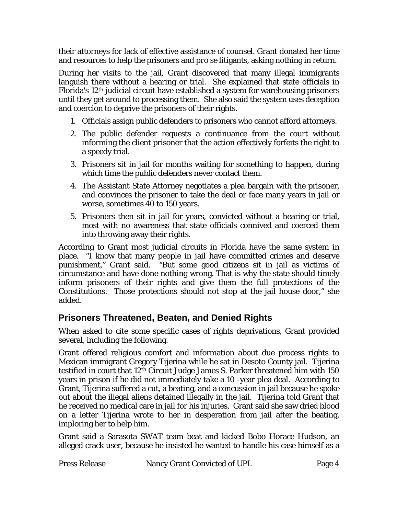their attorneys for lack of effective assistance of counsel. Grant donated her time and resources to help the prisoners and *pro se* litigants, asking nothing in return.

During her visits to the jail, Grant discovered that many illegal immigrants languish there without a hearing or trial. She explained that state officials in Florida's 12th judicial circuit have established a system for warehousing prisoners until they get around to processing them. She also said the system uses deception and coercion to deprive the prisoners of their rights.

- 1. Officials assign public defenders to prisoners who cannot afford attorneys.
- 2. The public defender requests a continuance from the court without informing the client prisoner that the action effectively forfeits the right to a speedy trial.
- 3. Prisoners sit in jail for months waiting for something to happen, during which time the public defenders never contact them.
- 4. The Assistant State Attorney negotiates a plea bargain with the prisoner, and convinces the prisoner to take the deal or face many years in jail or worse, sometimes 40 to 150 years.
- 5. Prisoners then sit in jail for years, convicted without a hearing or trial, most with no awareness that state officials connived and coerced them into throwing away their rights.

According to Grant most judicial circuits in Florida have the same system in place. "I know that many people in jail have committed crimes and deserve punishment," Grant said. "But some good citizens sit in jail as victims of circumstance and have done nothing wrong. That is why the state should timely inform prisoners of their rights and give them the full protections of the Constitutions. Those protections should not stop at the jail house door," she added.

# **Prisoners Threatened, Beaten, and Denied Rights**

When asked to cite some specific cases of rights deprivations, Grant provided several, including the following.

Grant offered religious comfort and information about due process rights to Mexican immigrant Gregory Tijerina while he sat in Desoto County jail. Tijerina testified in court that 12<sup>th</sup> Circuit Judge James S. Parker threatened him with 150 years in prison if he did not immediately take a 10 -year plea deal. According to Grant, Tijerina suffered a cut, a beating, and a concussion in jail because he spoke out about the illegal aliens detained illegally in the jail. Tijerina told Grant that he received no medical care in jail for his injuries. Grant said she saw dried blood on a letter Tijerina wrote to her in desperation from jail after the beating, imploring her to help him.

Grant said a Sarasota SWAT team beat and kicked Bobo Horace Hudson, an alleged crack user, because he insisted he wanted to handle his case himself as a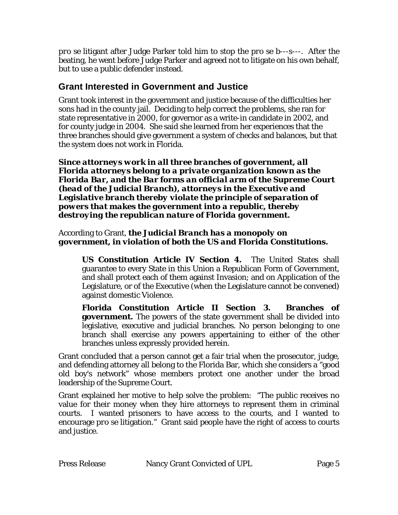*pro se* litigant after Judge Parker told him to stop the *pro se* b---s---. After the beating, he went before Judge Parker and agreed not to litigate on his own behalf, but to use a public defender instead.

## **Grant Interested in Government and Justice**

Grant took interest in the government and justice because of the difficulties her sons had in the county jail. Deciding to help correct the problems, she ran for state representative in 2000, for governor as a write-in candidate in 2002, and for county judge in 2004. She said she learned from her experiences that the three branches should give government a system of checks and balances, but that the system does not work in Florida.

*Since attorneys work in all three branches of government, all Florida attorneys belong to a private organization known as the Florida Bar, and the Bar forms an official arm of the Supreme Court (head of the Judicial Branch), attorneys in the Executive and Legislative branch thereby violate the principle of separation of powers that makes the government into a republic, thereby destroying the republican nature of Florida government.* 

### According to Grant, *the Judicial Branch has a monopoly on government, in violation of both the US and Florida Constitutions.*

**US Constitution Article IV Section 4.** The United States shall guarantee to every State in this Union a Republican Form of Government, and shall protect each of them against Invasion; and on Application of the Legislature, or of the Executive (when the Legislature cannot be convened) against domestic Violence.

**Florida Constitution Article II Section 3. Branches of government.** The powers of the state government shall be divided into legislative, executive and judicial branches. No person belonging to one branch shall exercise any powers appertaining to either of the other branches unless expressly provided herein.

Grant concluded that a person cannot get a fair trial when the prosecutor, judge, and defending attorney all belong to the Florida Bar, which she considers a "good old boy's network" whose members protect one another under the broad leadership of the Supreme Court.

Grant explained her motive to help solve the problem: "The public receives no value for their money when they hire attorneys to represent them in criminal courts. I wanted prisoners to have access to the courts, and I wanted to encourage *pro se* litigation." Grant said people have the right of access to courts and justice.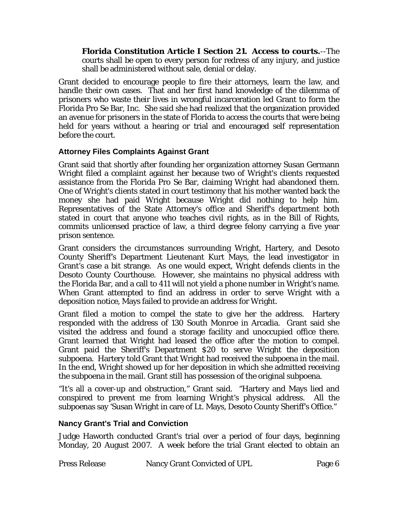**Florida Constitution Article I Section 21. Access to courts.**--The courts shall be open to every person for redress of any injury, and justice shall be administered without sale, denial or delay.

Grant decided to encourage people to fire their attorneys, learn the law, and handle their own cases. That and her first hand knowledge of the dilemma of prisoners who waste their lives in wrongful incarceration led Grant to form the Florida Pro Se Bar, Inc. She said she had realized that the organization provided an avenue for prisoners in the state of Florida to access the courts that were being held for years without a hearing or trial and encouraged self representation before the court.

### **Attorney Files Complaints Against Grant**

Grant said that shortly after founding her organization attorney Susan Germann Wright filed a complaint against her because two of Wright's clients requested assistance from the Florida Pro Se Bar, claiming Wright had abandoned them. One of Wright's clients stated in court testimony that his mother wanted back the money she had paid Wright because Wright did nothing to help him. Representatives of the State Attorney's office and Sheriff's department both stated in court that anyone who teaches civil rights, as in the Bill of Rights, commits unlicensed practice of law, a third degree felony carrying a five year prison sentence.

Grant considers the circumstances surrounding Wright, Hartery, and Desoto County Sheriff's Department Lieutenant Kurt Mays, the lead investigator in Grant's case a bit strange. As one would expect, Wright defends clients in the Desoto County Courthouse. However, she maintains no physical address with the Florida Bar, and a call to 411 will not yield a phone number in Wright's name. When Grant attempted to find an address in order to serve Wright with a deposition notice, Mays failed to provide an address for Wright.

Grant filed a motion to compel the state to give her the address. Hartery responded with the address of 130 South Monroe in Arcadia. Grant said she visited the address and found a storage facility and unoccupied office there. Grant learned that Wright had leased the office after the motion to compel. Grant paid the Sheriff's Department \$20 to serve Wright the deposition subpoena. Hartery told Grant that Wright had received the subpoena in the mail. In the end, Wright showed up for her deposition in which she admitted receiving the subpoena in the mail. Grant still has possession of the original subpoena.

"It's all a cover-up and obstruction," Grant said. "Hartery and Mays lied and conspired to prevent me from learning Wright's physical address. All the subpoenas say 'Susan Wright in care of Lt. Mays, Desoto County Sheriff's Office."

### **Nancy Grant's Trial and Conviction**

Judge Haworth conducted Grant's trial over a period of four days, beginning Monday, 20 August 2007. A week before the trial Grant elected to obtain an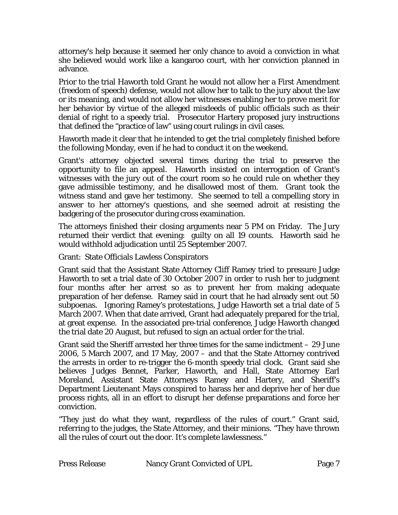attorney's help because it seemed her only chance to avoid a conviction in what she believed would work like a kangaroo court, with her conviction planned in advance.

Prior to the trial Haworth told Grant he would not allow her a First Amendment (freedom of speech) defense, would not allow her to talk to the jury about the law or its meaning, and would not allow her witnesses enabling her to prove merit for her behavior by virtue of the alleged misdeeds of public officials such as their denial of right to a speedy trial. Prosecutor Hartery proposed jury instructions that defined the "practice of law" using court rulings in civil cases.

Haworth made it clear that he intended to get the trial completely finished before the following Monday, even if he had to conduct it on the weekend.

Grant's attorney objected several times during the trial to preserve the opportunity to file an appeal. Haworth insisted on interrogation of Grant's witnesses with the jury out of the court room so he could rule on whether they gave admissible testimony, and he disallowed most of them. Grant took the witness stand and gave her testimony. She seemed to tell a compelling story in answer to her attorney's questions, and she seemed adroit at resisting the badgering of the prosecutor during cross examination.

The attorneys finished their closing arguments near 5 PM on Friday. The Jury returned their verdict that evening: guilty on all 19 counts. Haworth said he would withhold adjudication until 25 September 2007.

Grant: State Officials Lawless Conspirators

Grant said that the Assistant State Attorney Cliff Ramey tried to pressure Judge Haworth to set a trial date of 30 October 2007 in order to rush her to judgment four months after her arrest so as to prevent her from making adequate preparation of her defense. Ramey said in court that he had already sent out 50 subpoenas. Ignoring Ramey's protestations, Judge Haworth set a trial date of 5 March 2007. When that date arrived, Grant had adequately prepared for the trial, at great expense. In the associated pre-trial conference, Judge Haworth changed the trial date 20 August, but refused to sign an actual order for the trial.

Grant said the Sheriff arrested her three times for the same indictment – 29 June 2006, 5 March 2007, and 17 May, 2007 – and that the State Attorney contrived the arrests in order to re-trigger the 6-month speedy trial clock. Grant said she believes Judges Bennet, Parker, Haworth, and Hall, State Attorney Earl Moreland, Assistant State Attorneys Ramey and Hartery, and Sheriff's Department Lieutenant Mays conspired to harass her and deprive her of her due process rights, all in an effort to disrupt her defense preparations and force her conviction.

"They just do what they want, regardless of the rules of court." Grant said, referring to the judges, the State Attorney, and their minions. "They have thrown all the rules of court out the door. It's complete lawlessness."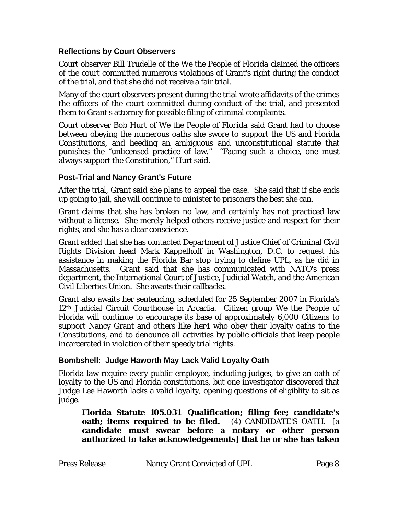### **Reflections by Court Observers**

Court observer Bill Trudelle of the *We the People of Florida* claimed the officers of the court committed numerous violations of Grant's right during the conduct of the trial, and that she did not receive a fair trial.

Many of the court observers present during the trial wrote affidavits of the crimes the officers of the court committed during conduct of the trial, and presented them to Grant's attorney for possible filing of criminal complaints.

Court observer Bob Hurt of *We the People of Florida* said Grant had to choose between obeying the numerous oaths she swore to support the US and Florida Constitutions, and heeding an ambiguous and unconstitutional statute that punishes the "unlicensed practice of law." "Facing such a choice, one must always support the Constitution," Hurt said.

### **Post-Trial and Nancy Grant's Future**

After the trial, Grant said she plans to appeal the case. She said that if she ends up going to jail, she will continue to minister to prisoners the best she can.

Grant claims that she has broken no law, and certainly has not practiced law without a license. She merely helped others receive justice and respect for their rights, and she has a clear conscience.

Grant added that she has contacted Department of Justice Chief of Criminal Civil Rights Division head Mark Kappelhoff in Washington, D.C. to request his assistance in making the Florida Bar stop trying to define UPL, as he did in Massachusetts. Grant said that she has communicated with NATO's press department, the International Court of Justice, Judicial Watch, and the American Civil Liberties Union. She awaits their callbacks.

Grant also awaits her sentencing, scheduled for 25 September 2007 in Florida's 12th Judicial Circuit Courthouse in Arcadia. Citizen group We the People of Florida will continue to encourage its base of approximately 6,000 Citizens to support Nancy Grant and others like her4 who obey their loyalty oaths to the Constitutions, and to denounce all activities by public officials that keep people incarcerated in violation of their speedy trial rights.

### **Bombshell: Judge Haworth May Lack Valid Loyalty Oath**

Florida law require every public employee, including judges, to give an oath of loyalty to the US and Florida constitutions, but one investigator discovered that Judge Lee Haworth lacks a valid loyalty, opening questions of eligiblity to sit as judge.

**Florida Statute 105.031 Qualification; filing fee; candidate's oath; items required to be filed.**— (4) CANDIDATE'S OATH.—[a **candidate must swear before a notary or other person authorized to take acknowledgements] that he or she has taken**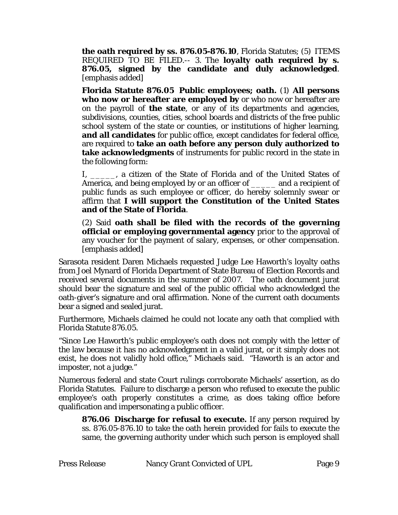**the oath required by ss. [876.05-](http://www.leg.state.fl.us/Statutes/index.cfm?App_mode=Display_Statute&Search_String=&URL=Ch0876/Sec05.HTM)876.10**, Florida Statutes; (5) ITEMS REQUIRED TO BE FILED.-- 3. The **loyalty oath required by s. [876.05](http://www.leg.state.fl.us/Statutes/index.cfm?App_mode=Display_Statute&Search_String=&URL=Ch0876/Sec05.HTM), signed by the candidate and duly acknowledged**. [emphasis added]

**Florida Statute 876.05 Public employees; oath.** (1) **All persons who now or hereafter are employed by** or who now or hereafter are on the payroll of **the state**, or any of its departments and agencies, subdivisions, counties, cities, school boards and districts of the free public school system of the state or counties, or institutions of higher learning, **and all candidates** for public office, except candidates for federal office, are required to **take an oath before any person duly authorized to take acknowledgments** of instruments for public record in the state in the following form:

I, \_\_\_\_\_, a citizen of the State of Florida and of the United States of America, and being employed by or an officer of and a recipient of public funds as such employee or officer, do hereby solemnly swear or affirm that **I will support the Constitution of the United States and of the State of Florida**.

(2) Said **oath shall be filed with the records of the governing official or employing governmental agency** prior to the approval of any voucher for the payment of salary, expenses, or other compensation. [emphasis added]

Sarasota resident Daren Michaels requested Judge Lee Haworth's loyalty oaths from Joel Mynard of Florida Department of State Bureau of Election Records and received several documents in the summer of 2007. The oath document jurat should bear the signature and seal of the public official who acknowledged the oath-giver's signature and oral affirmation. None of the current oath documents bear a signed and sealed jurat.

Furthermore, Michaels claimed he could not locate any oath that complied with Florida Statute 876.05.

"Since Lee Haworth's public employee's oath does not comply with the letter of the law because it has no acknowledgment in a valid jurat, or it simply does not exist, he does not validly hold office," Michaels said. "Haworth is an actor and imposter, not a judge."

Numerous federal and state Court rulings corroborate Michaels' assertion, as do Florida Statutes. Failure to discharge a person who refused to execute the public employee's oath properly constitutes a crime, as does taking office before qualification and impersonating a public officer.

**876.06 Discharge for refusal to execute.** If any person required by ss. 876.05-876.10 to take the oath herein provided for fails to execute the same, the governing authority under which such person is employed shall